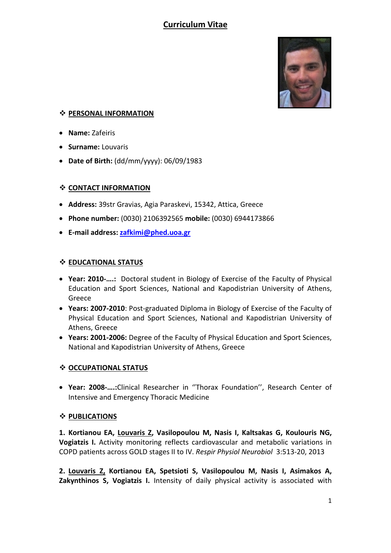# **Curriculum Vitae**



### **PERSONAL INFORMATION**

- **Name:** Zafeiris
- **Surname:** Louvaris
- **Date of Birth:** (dd/mm/yyyy): 06/09/1983

#### **CONTACT INFORMATION**

- **Address:** 39str Gravias, Agia Paraskevi, 15342, Attica, Greece
- **Phone number:** (0030) 2106392565 **mobile:** (0030) 6944173866
- **E-mail address[: zafkimi@phed.uoa.gr](mailto:zafkimi@phed.uoa.gr)**

#### **EDUCATIONAL STATUS**

- **Year: 2010-….:** Doctoral student in Biology of Exercise of the Faculty of Physical Education and Sport Sciences, National and Kapodistrian University of Athens, Greece
- **Years: 2007-2010**: Post-graduated Diploma in Biology of Exercise of the Faculty of Physical Education and Sport Sciences, National and Kapodistrian University of Athens, Greece
- **Years: 2001-2006:** Degree of the Faculty of Physical Education and Sport Sciences, National and Kapodistrian University of Athens, Greece

### **OCCUPATIONAL STATUS**

• **Year: 2008-….:**Clinical Researcher in ''Thorax Foundation'', Research Center of Intensive and Emergency Thoracic Medicine

#### **PUBLICATIONS**

**1. Kortianou EA, Louvaris Z, Vasilopoulou M, Nasis I, Kaltsakas G, Koulouris NG, Vogiatzis I.** Activity monitoring reflects cardiovascular and metabolic variations in COPD patients across GOLD stages II to IV. *Respir Physiol Neurobiol* 3:513-20, 2013

**2. Louvaris Z, Kortianou EA, Spetsioti S, Vasilopoulou M, Nasis I, Asimakos A, Zakynthinos S, Vogiatzis I.** Intensity of daily physical activity is associated with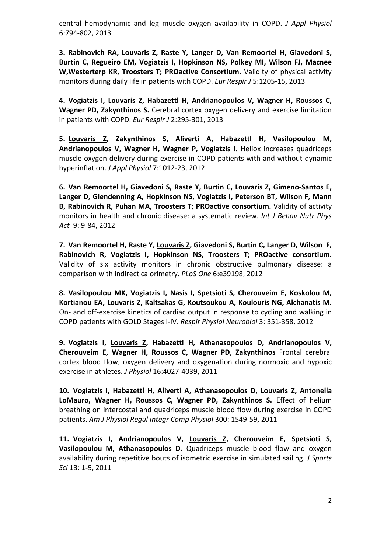central hemodynamic and leg muscle oxygen availability in COPD. *J Appl Physiol* 6:794-802, 2013

**3. Rabinovich RA, Louvaris Z, Raste Y, Langer D, Van Remoortel H, Giavedoni S, Burtin C, Regueiro EM, Vogiatzis I, Hopkinson NS, Polkey MI, Wilson FJ, Macnee W,Westerterp KR, Troosters T; PROactive Consortium.** Validity of physical activity monitors during daily life in patients with COPD. *Eur Respir J* 5:1205-15, 2013

**4. Vogiatzis I, Louvaris Z, Habazettl H, Andrianopoulos V, Wagner H, Roussos C, Wagner PD, Zakynthinos S.** Cerebral cortex oxygen delivery and exercise limitation in patients with COPD. *Eur Respir J* 2:295-301, 2013

**5. Louvaris Z, Zakynthinos S, Aliverti A, Habazettl H, Vasilopoulou M, Andrianopoulos V, Wagner H, Wagner P, Vogiatzis I.** Heliox increases quadríceps muscle oxygen delivery during exercise in COPD patients with and without dynamic hyperinflation. *J Appl Physiol* 7:1012-23, 2012

**6. Van Remoortel H, Giavedoni S, Raste Y, Burtin C, Louvaris Z, Gimeno-Santos E, Langer D, Glendenning A, Hopkinson NS, Vogiatzis I, Peterson BT, Wilson F, Mann B, Rabinovich R, Puhan MA, Troosters T; PROactive consortium.** Validity of activity monitors in health and chronic disease: a systematic review. *Int J Behav Nutr Phys Act* 9: 9-84, 2012

**7. Van Remoortel H, Raste Y, Louvaris Z, Giavedoni S, Burtin C, Langer D, Wilson F, Rabinovich R, Vogiatzis I, Hopkinson NS, Troosters T; PROactive consortium.** Validity of six activity monitors in chronic obstructive pulmonary disease: a comparison with indirect calorimetry. *PLoS One* 6:e39198, 2012

**8. Vasilopoulou MK, Vogiatzis I, Nasis I, Spetsioti S, Cherouveim E, Koskolou M, Kortianou EA, Louvaris Z, Kaltsakas G, Koutsoukou A, Koulouris NG, Alchanatis M.** On- and off-exercise kinetics of cardiac output in response to cycling and walking in COPD patients with GOLD Stages I-IV. *Respir Physiol Neurobiol* 3: 351-358, 2012

**9. Vogiatzis I, Louvaris Z, Habazettl H, Athanasopoulos D, Andrianopoulos V, Cherouveim E, Wagner H, Roussos C, Wagner PD, Zakynthinos** Frontal cerebral cortex blood flow, oxygen delivery and oxygenation during normoxic and hypoxic exercise in athletes. *J Physiol* 16:4027-4039, 2011

**10. Vogiatzis I, Habazettl H, Aliverti A, Athanasopoulos D, Louvaris Z, Antonella LoMauro, Wagner H, Roussos C, Wagner PD, Zakynthinos S.** Effect of helium breathing on intercostal and quadriceps muscle blood flow during exercise in COPD patients. *Am J Physiol Regul Integr Comp Physiol* 300: 1549-59, 2011

**11. Vogiatzis I, Andrianopoulos V, Louvaris Z, Cherouveim E, Spetsioti S, Vasilopoulou M, Athanasopoulos D.** Quadriceps muscle blood flow and oxygen availability during repetitive bouts of isometric exercise in simulated sailing. *J Sports Sci* 13: 1-9, 2011